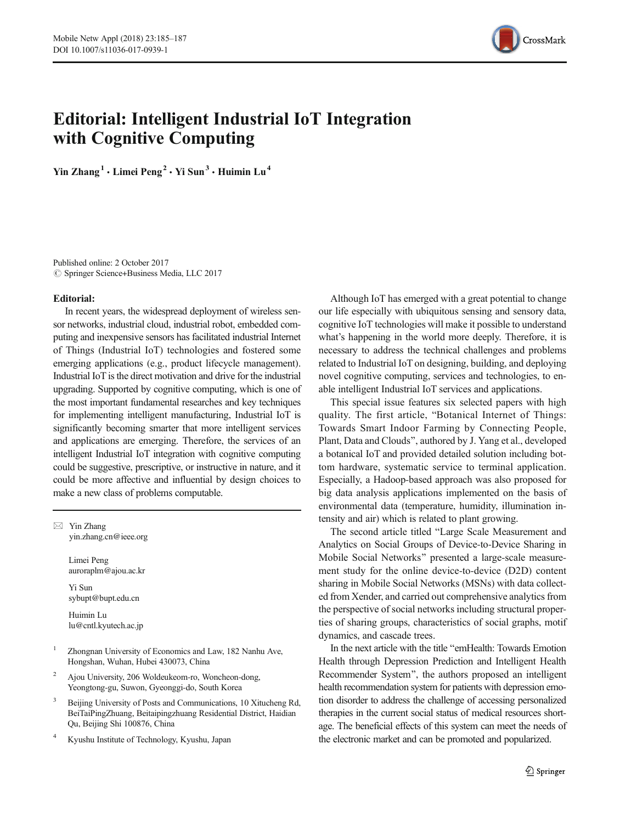

## Editorial: Intelligent Industrial IoT Integration with Cognitive Computing

Yin Zhang<sup>1</sup>  $\cdot$  Limei Peng<sup>2</sup>  $\cdot$  Yi Sun<sup>3</sup>  $\cdot$  Huimin Lu<sup>4</sup>

Published online: 2 October 2017  $\oslash$  Springer Science+Business Media, LLC 2017

## Editorial:

In recent years, the widespread deployment of wireless sensor networks, industrial cloud, industrial robot, embedded computing and inexpensive sensors has facilitated industrial Internet of Things (Industrial IoT) technologies and fostered some emerging applications (e.g., product lifecycle management). Industrial IoT is the direct motivation and drive for the industrial upgrading. Supported by cognitive computing, which is one of the most important fundamental researches and key techniques for implementing intelligent manufacturing, Industrial IoT is significantly becoming smarter that more intelligent services and applications are emerging. Therefore, the services of an intelligent Industrial IoT integration with cognitive computing could be suggestive, prescriptive, or instructive in nature, and it could be more affective and influential by design choices to make a new class of problems computable.

 $\boxtimes$  Yin Zhang [yin.zhang.cn@ieee.org](mailto:yin.zhang.cn@ieee.org)

> Limei Peng auroraplm@ajou.ac.kr

Yi Sun sybupt@bupt.edu.cn

Huimin Lu lu@cntl.kyutech.ac.jp

- <sup>1</sup> Zhongnan University of Economics and Law, 182 Nanhu Ave, Hongshan, Wuhan, Hubei 430073, China
- <sup>2</sup> Ajou University, 206 Woldeukeom-ro, Woncheon-dong, Yeongtong-gu, Suwon, Gyeonggi-do, South Korea
- <sup>3</sup> Beijing University of Posts and Communications, 10 Xitucheng Rd, BeiTaiPingZhuang, Beitaipingzhuang Residential District, Haidian Qu, Beijing Shi 100876, China

<sup>4</sup> Kyushu Institute of Technology, Kyushu, Japan

Although IoT has emerged with a great potential to change our life especially with ubiquitous sensing and sensory data, cognitive IoT technologies will make it possible to understand what's happening in the world more deeply. Therefore, it is necessary to address the technical challenges and problems related to Industrial IoT on designing, building, and deploying novel cognitive computing, services and technologies, to enable intelligent Industrial IoT services and applications.

This special issue features six selected papers with high quality. The first article, "Botanical Internet of Things: Towards Smart Indoor Farming by Connecting People, Plant, Data and Clouds^, authored by J. Yang et al., developed a botanical IoT and provided detailed solution including bottom hardware, systematic service to terminal application. Especially, a Hadoop-based approach was also proposed for big data analysis applications implemented on the basis of environmental data (temperature, humidity, illumination intensity and air) which is related to plant growing.

The second article titled "Large Scale Measurement and Analytics on Social Groups of Device-to-Device Sharing in Mobile Social Networks" presented a large-scale measurement study for the online device-to-device (D2D) content sharing in Mobile Social Networks (MSNs) with data collected from Xender, and carried out comprehensive analytics from the perspective of social networks including structural properties of sharing groups, characteristics of social graphs, motif dynamics, and cascade trees.

In the next article with the title "emHealth: Towards Emotion Health through Depression Prediction and Intelligent Health Recommender System", the authors proposed an intelligent health recommendation system for patients with depression emotion disorder to address the challenge of accessing personalized therapies in the current social status of medical resources shortage. The beneficial effects of this system can meet the needs of the electronic market and can be promoted and popularized.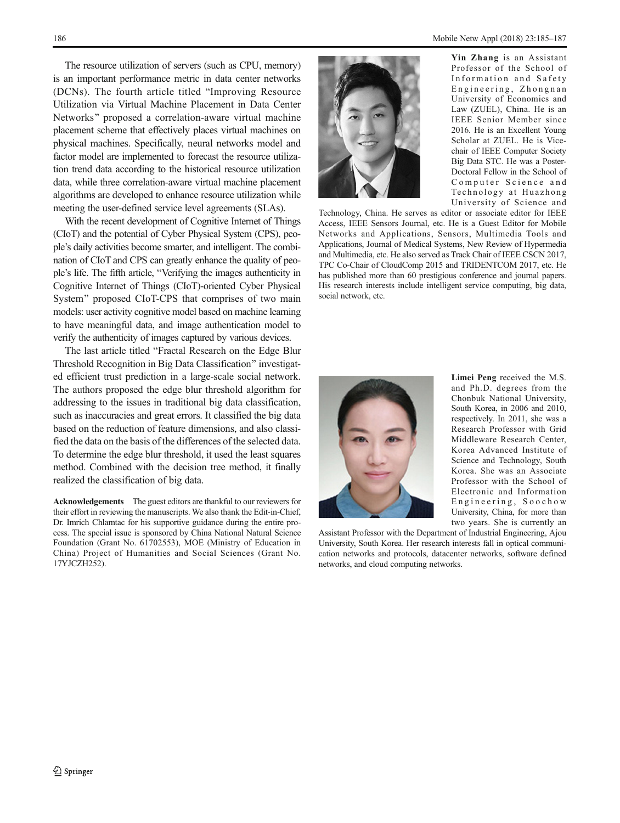The resource utilization of servers (such as CPU, memory) is an important performance metric in data center networks (DCNs). The fourth article titled "Improving Resource Utilization via Virtual Machine Placement in Data Center Networks" proposed a correlation-aware virtual machine placement scheme that effectively places virtual machines on physical machines. Specifically, neural networks model and factor model are implemented to forecast the resource utilization trend data according to the historical resource utilization data, while three correlation-aware virtual machine placement algorithms are developed to enhance resource utilization while meeting the user-defined service level agreements (SLAs).

With the recent development of Cognitive Internet of Things (CIoT) and the potential of Cyber Physical System (CPS), people's daily activities become smarter, and intelligent. The combination of CIoT and CPS can greatly enhance the quality of people's life. The fifth article, "Verifying the images authenticity in Cognitive Internet of Things (CIoT)-oriented Cyber Physical System" proposed CIoT-CPS that comprises of two main models: user activity cognitive model based on machine learning to have meaningful data, and image authentication model to verify the authenticity of images captured by various devices.

The last article titled "Fractal Research on the Edge Blur Threshold Recognition in Big Data Classification^ investigated efficient trust prediction in a large-scale social network. The authors proposed the edge blur threshold algorithm for addressing to the issues in traditional big data classification, such as inaccuracies and great errors. It classified the big data based on the reduction of feature dimensions, and also classified the data on the basis of the differences of the selected data. To determine the edge blur threshold, it used the least squares method. Combined with the decision tree method, it finally realized the classification of big data.

Acknowledgements The guest editors are thankful to our reviewers for their effort in reviewing the manuscripts. We also thank the Edit-in-Chief, Dr. Imrich Chlamtac for his supportive guidance during the entire process. The special issue is sponsored by China National Natural Science Foundation (Grant No. 61702553), MOE (Ministry of Education in China) Project of Humanities and Social Sciences (Grant No. 17YJCZH252).



Yin Zhang is an Assistant Professor of the School of Information and Safety Engineering, Zhongnan University of Economics and Law (ZUEL), China. He is an IEEE Senior Member since 2016. He is an Excellent Young Scholar at ZUEL. He is Vicechair of IEEE Computer Society Big Data STC. He was a Poster-Doctoral Fellow in the School of Computer Science and Technology at Huazhong University of Science and

Technology, China. He serves as editor or associate editor for IEEE Access, IEEE Sensors Journal, etc. He is a Guest Editor for Mobile Networks and Applications, Sensors, Multimedia Tools and Applications, Journal of Medical Systems, New Review of Hypermedia and Multimedia, etc. He also served as Track Chair of IEEE CSCN 2017, TPC Co-Chair of CloudComp 2015 and TRIDENTCOM 2017, etc. He has published more than 60 prestigious conference and journal papers. His research interests include intelligent service computing, big data, social network, etc.



Limei Peng received the M.S. and Ph.D. degrees from the Chonbuk National University, South Korea, in 2006 and 2010, respectively. In 2011, she was a Research Professor with Grid Middleware Research Center, Korea Advanced Institute of Science and Technology, South Korea. She was an Associate Professor with the School of Electronic and Information Engineering, Soochow University, China, for more than two years. She is currently an

Assistant Professor with the Department of Industrial Engineering, Ajou University, South Korea. Her research interests fall in optical communication networks and protocols, datacenter networks, software defined networks, and cloud computing networks.